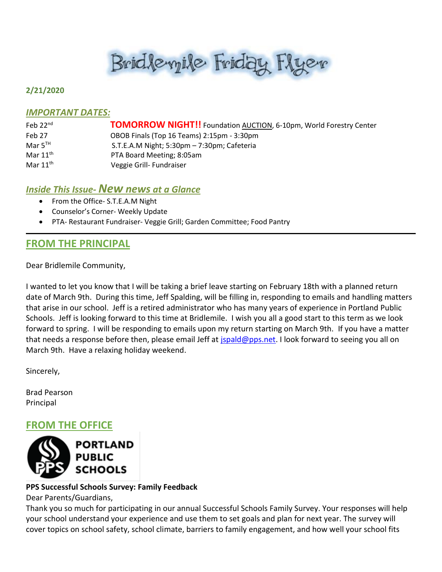# Brid levyile Friday Flyer

#### **2/21/2020**

#### *IMPORTANT DATES:*

| Feb $22nd$           | <b>TOMORROW NIGHT!!</b> Foundation AUCTION, 6-10pm, World Forestry Center |
|----------------------|---------------------------------------------------------------------------|
| Feb 27               | OBOB Finals (Top 16 Teams) 2:15pm - 3:30pm                                |
| Mar $5^{TH}$         | S.T.E.A.M Night; 5:30pm - 7:30pm; Cafeteria                               |
| Mar $11^{\text{th}}$ | PTA Board Meeting; 8:05am                                                 |
| Mar $11^{\text{th}}$ | Veggie Grill- Fundraiser                                                  |

### *Inside This Issue- New news at a Glance*

- From the Office- S.T.E.A.M Night
- Counselor's Corner- Weekly Update
- PTA- Restaurant Fundraiser- Veggie Grill; Garden Committee; Food Pantry

# **FROM THE PRINCIPAL**

Dear Bridlemile Community,

I wanted to let you know that I will be taking a brief leave starting on February 18th with a planned return date of March 9th. During this time, Jeff Spalding, will be filling in, responding to emails and handling matters that arise in our school. Jeff is a retired administrator who has many years of experience in Portland Public Schools. Jeff is looking forward to this time at Bridlemile. I wish you all a good start to this term as we look forward to spring. I will be responding to emails upon my return starting on March 9th. If you have a matter that needs a response before then, please email Jeff at [jspald@pps.net.](mailto:jspald@pps.net) I look forward to seeing you all on March 9th. Have a relaxing holiday weekend.

Sincerely,

Brad Pearson Principal

# **FROM THE OFFICE**



### **PPS Successful Schools Survey: Family Feedback**

Dear Parents/Guardians,

Thank you so much for participating in our annual Successful Schools Family Survey. Your responses will help your school understand your experience and use them to set goals and plan for next year. The survey will cover topics on school safety, school climate, barriers to family engagement, and how well your school fits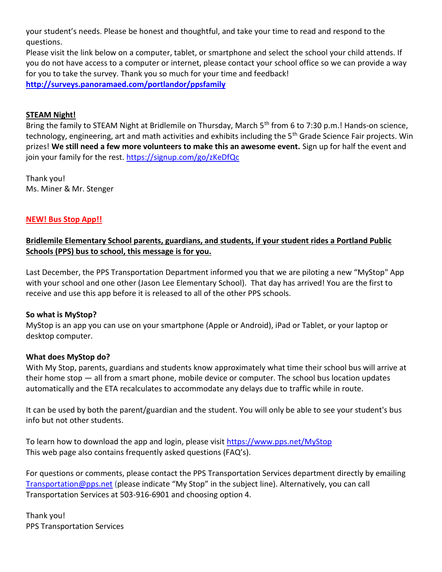your student's needs. Please be honest and thoughtful, and take your time to read and respond to the questions.

Please visit the link below on a computer, tablet, or smartphone and select the school your child attends. If you do not have access to a computer or internet, please contact your school office so we can provide a way for you to take the survey. Thank you so much for your time and feedback! **<http://surveys.panoramaed.com/portlandor/ppsfamily>**

#### **STEAM Night!**

Bring the family to STEAM Night at Bridlemile on Thursday, March 5<sup>th</sup> from 6 to 7:30 p.m.! Hands-on science, technology, engineering, art and math activities and exhibits including the 5<sup>th</sup> Grade Science Fair projects. Win prizes! **We still need a few more volunteers to make this an awesome event.** Sign up for half the event and join your family for the rest. <https://signup.com/go/zKeDfQc>

Thank you! Ms. Miner & Mr. Stenger

#### **NEW! Bus Stop App!!**

### **Bridlemile Elementary School parents, guardians, and students, if your student rides a Portland Public Schools (PPS) bus to school, this message is for you.**

Last December, the PPS Transportation Department informed you that we are piloting a new "MyStop" App with your school and one other (Jason Lee Elementary School). That day has arrived! You are the first to receive and use this app before it is released to all of the other PPS schools.

#### **So what is MyStop?**

MyStop is an app you can use on your smartphone (Apple or Android), iPad or Tablet, or your laptop or desktop computer.

#### **What does MyStop do?**

With My Stop, parents, guardians and students know approximately what time their school bus will arrive at their home stop — all from a smart phone, mobile device or computer. The school bus location updates automatically and the ETA recalculates to accommodate any delays due to traffic while in route.

It can be used by both the parent/guardian and the student. You will only be able to see your student's bus info but not other students.

To learn how to download the app and login, please visit [https://www.pps.net/MyStop](http://track.spe.schoolmessenger.com/f/a/AtHFMGGRwPd3u0gCAynG0g~~/AAAAAQA~/RgRgEtqoP0QaaHR0cHM6Ly93d3cucHBzLm5ldC9NeVN0b3BXB3NjaG9vbG1CCgAAKKcxXsVjvVRSEGRidXJsaW5nQHBwcy5uZXRYBAAAAAE~) This web page also contains frequently asked questions (FAQ's).

For questions or comments, please contact the PPS Transportation Services department directly by emailing [Transportation@pps.net](mailto:Transportation@pps.net) (please indicate "My Stop" in the subject line). Alternatively, you can call Transportation Services at 503-916-6901 and choosing option 4.

Thank you! PPS Transportation Services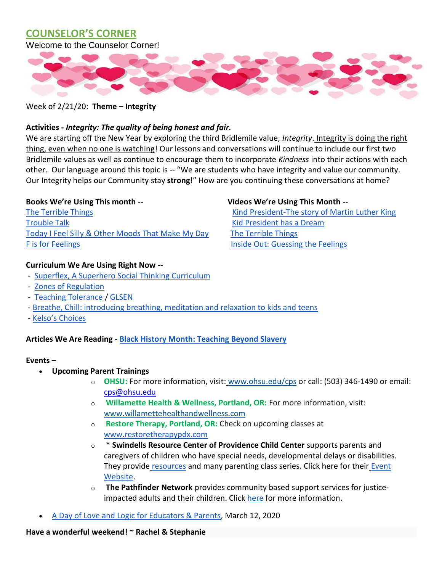## **COUNSELOR'S CORNER**

Welcome to the Counselor Corner!



Week of 2/21/20: **Theme – Integrity**

#### **Activities -** *Integrity: The quality of being honest and fair.*

We are starting off the New Year by exploring the third Bridlemile value, *Integrity*. Integrity is doing the right thing, even when no one is watching! Our lessons and conversations will continue to include our first two Bridlemile values as well as continue to encourage them to incorporate *Kindness* into their actions with each other. Our language around this topic is -- "We are students who have integrity and value our community. Our Integrity helps our Community stay **strong**!" How are you continuing these conversations at home?

[The Terrible Things](https://www.amazon.com/Terrible-Things-Holocaust-Eve-Bunting/dp/0827605072) The Terrible Things The Terrible Things Assembly 2012 The Story of Martin Luther King [Trouble Talk](https://www.goodreads.com/en/book/show/2023447.Trouble_Talk) **Trouble Talk** [Kid President has a Dream](https://www.youtube.com/watch?v=pIUOdrWl-ts) Today I Feel Silly & [Other Moods That Make My Day](http://a.co/d/bFgL3e2) [The Terrible Things](https://www.youtube.com/watch?v=8KsAvtHsyY0) [F is for Feelings](https://www.amazon.com/F-Feelings-Goldie-Millar/dp/1575424762) **[Inside Out: Guessing the Feelings](https://youtu.be/dOkyKyVFnSs)** Inside Out: Guessing the Feelings

#### **Curriculum We Are Using Right Now --**

- [Superflex, A Superhero Social Thinking Curriculum](https://www.socialthinking.com/Products/superflex-superhero-social-thinking-curriculum)
- [Zones of Regulation](http://www.zonesofregulation.com/index.html)
- [Teaching Tolerance](https://www.tolerance.org/about) / [GLSEN](https://www.glsen.org/educate/resources/lesson-plans)
- [Breathe, Chill: introducing breathing, meditation and relaxation to kids and teens](https://www.amazon.com/Breathe-Chill-Techniques-Introducing-Meditation/dp/1495314693)
- [Kelso's Choices](https://kelsoschoice.com/about/)

#### **Articles We Are Reading** - **[Black History Month: Teaching Beyond Slavery](https://www.socialthinking.com/Producthttps:/www.tolerance.org/magazine/black-history-month-teaching-beyond-slaverys/superflex-superhero-social-thinking-curriculum)**

#### **Events –**

- **Upcoming Parent Trainings**
	- o **OHSU:** For more information, visit: [www.ohsu.edu/cps](http://www.ohsu.edu/cps) or call: (503) 346-1490 or email: [cps@ohsu.edu](mailto:cps@ohsu.edu)
	- o **Willamette Health & Wellness, Portland, OR:** For more information, visit[:](http://www.willamettehealthandwellness.com/) [www.willamettehealthandwellness.com](http://www.willamettehealthandwellness.com/)
	- o **Restore Therapy, Portland, OR:** Check on upcoming classes a[t](http://www.restoretherapypdx.com/) [www.restoretherapypdx.com](http://www.restoretherapypdx.com/)
	- o \* **Swindells Resource Center of Providence Child Center** supports parents and caregivers of children who have special needs, developmental delays or disabilities. They provide [resources](https://oregon.providence.org/our-services/s/swindells-resource-center/forms-and-information) and many parenting class series. Click here for their [Event](https://oregon.providence.org/our-services/s/swindells-resource-center/events)  [Website.](https://oregon.providence.org/our-services/s/swindells-resource-center/events)
	- o **The Pathfinder Network** provides community based support services for justiceimpacted adults and their children. Click [here](https://www.thepathfindernetwork.org/programs/community-programs/) for more information.
- [A Day of Love and Logic for Educators & Parents,](https://drive.google.com/file/d/1FgzD6U2PiC1t6ccSc75IM_4kW8DUVG4T/view) March 12, 2020

#### **Have a wonderful weekend! ~ Rachel & Stephanie**

#### **Books We're Using This month -- Videos We're Using This Month --**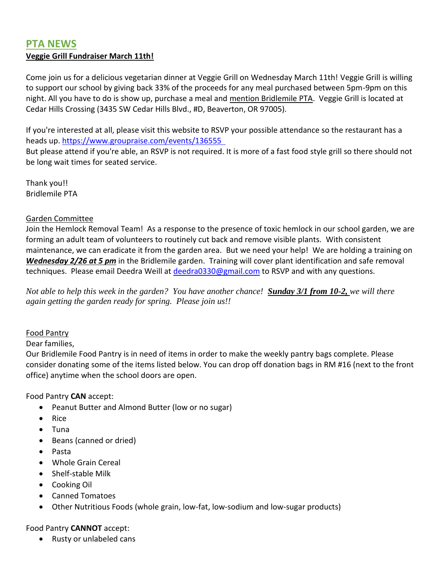# **PTA NEWS Veggie Grill Fundraiser March 11th!**

Come join us for a delicious vegetarian dinner at Veggie Grill on Wednesday March 11th! Veggie Grill is willing to support our school by giving back 33% of the proceeds for any meal purchased between 5pm-9pm on this night. All you have to do is show up, purchase a meal and mention Bridlemile PTA. Veggie Grill is located at Cedar Hills Crossing (3435 SW Cedar Hills Blvd., #D, Beaverton, OR 97005).

If you're interested at all, please visit this website to RSVP your possible attendance so the restaurant has a heads up. <https://www.groupraise.com/events/136555>

But please attend if you're able, an RSVP is not required. It is more of a fast food style grill so there should not be long wait times for seated service.

Thank you!! Bridlemile PTA

#### Garden Committee

Join the Hemlock Removal Team! As a response to the presence of toxic hemlock in our school garden, we are forming an adult team of volunteers to routinely cut back and remove visible plants. With consistent maintenance, we can eradicate it from the garden area. But we need your help! We are holding a training on *Wednesday 2/26 at 5 pm* in the Bridlemile garden. Training will cover plant identification and safe removal techniques. Please email Deedra Weill at [deedra0330@gmail.com](mailto:deedra0330@gmail.com) to RSVP and with any questions.

*Not able to help this week in the garden? You have another chance! Sunday 3/1 from 10-2, we will there again getting the garden ready for spring. Please join us!!* 

### Food Pantry

Dear families,

Our Bridlemile Food Pantry is in need of items in order to make the weekly pantry bags complete. Please consider donating some of the items listed below. You can drop off donation bags in RM #16 (next to the front office) anytime when the school doors are open.

Food Pantry **CAN** accept:

- Peanut Butter and Almond Butter (low or no sugar)
- Rice
- Tuna
- Beans (canned or dried)
- Pasta
- Whole Grain Cereal
- Shelf-stable Milk
- Cooking Oil
- Canned Tomatoes
- Other Nutritious Foods (whole grain, low-fat, low-sodium and low-sugar products)

Food Pantry **CANNOT** accept:

• Rusty or unlabeled cans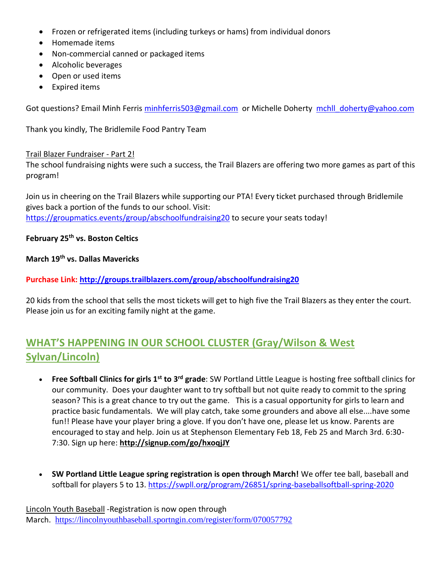- Frozen or refrigerated items (including turkeys or hams) from individual donors
- Homemade items
- Non-commercial canned or packaged items
- Alcoholic beverages
- Open or used items
- Expired items

Got questions? Email Minh Ferris [minhferris503@gmail.com](mailto:minhferris503@gmail.com) or Michelle Doherty [mchll\\_doherty@yahoo.com](mailto:mchll_doherty@yahoo.com)

Thank you kindly, The Bridlemile Food Pantry Team

#### Trail Blazer Fundraiser - Part 2!

The school fundraising nights were such a success, the Trail Blazers are offering two more games as part of this program!

Join us in cheering on the Trail Blazers while supporting our PTA! Every ticket purchased through Bridlemile gives back a portion of the funds to our school. Visit: <https://groupmatics.events/group/abschoolfundraising20> to secure your seats today!

#### **February 25th vs. Boston Celtics**

**March 19th vs. Dallas Mavericks**

#### **Purchase Link: <http://groups.trailblazers.com/group/abschoolfundraising20>**

20 kids from the school that sells the most tickets will get to high five the Trail Blazers as they enter the court. Please join us for an exciting family night at the game.

# **WHAT'S HAPPENING IN OUR SCHOOL CLUSTER (Gray/Wilson & West Sylvan/Lincoln)**

- **Free Softball Clinics for girls 1st to 3rd grade**: SW Portland Little League is hosting free softball clinics for our community. Does your daughter want to try softball but not quite ready to commit to the spring season? This is a great chance to try out the game. This is a casual opportunity for girls to learn and practice basic fundamentals. We will play catch, take some grounders and above all else....have some fun!! Please have your player bring a glove. If you don't have one, please let us know. Parents are encouraged to stay and help. Join us at Stephenson Elementary Feb 18, Feb 25 and March 3rd. 6:30- 7:30. Sign up here: **[http://signup.com/go/hxoqjJY](http://tracking.teamsideline.com/f/a/z_GinVXTRRjWMlx81HMIgQ~~/AAFjrAA~/RgRgKU7OP0QcaHR0cDovL3NpZ251cC5jb20vZ28vaHhvcWpKWVcDc3BjQgoAKc7JRl6vWqbnUhVjb3JtYW5hbmdAY29tY2FzdC5uZXRYBAAAAAA~)**
- **SW Portland Little League spring registration is open through March!** We offer tee ball, baseball and softball for players 5 to 13.<https://swpll.org/program/26851/spring-baseballsoftball-spring-2020>

Lincoln Youth Baseball -Registration is now open through March. <https://lincolnyouthbaseball.sportngin.com/register/form/070057792>